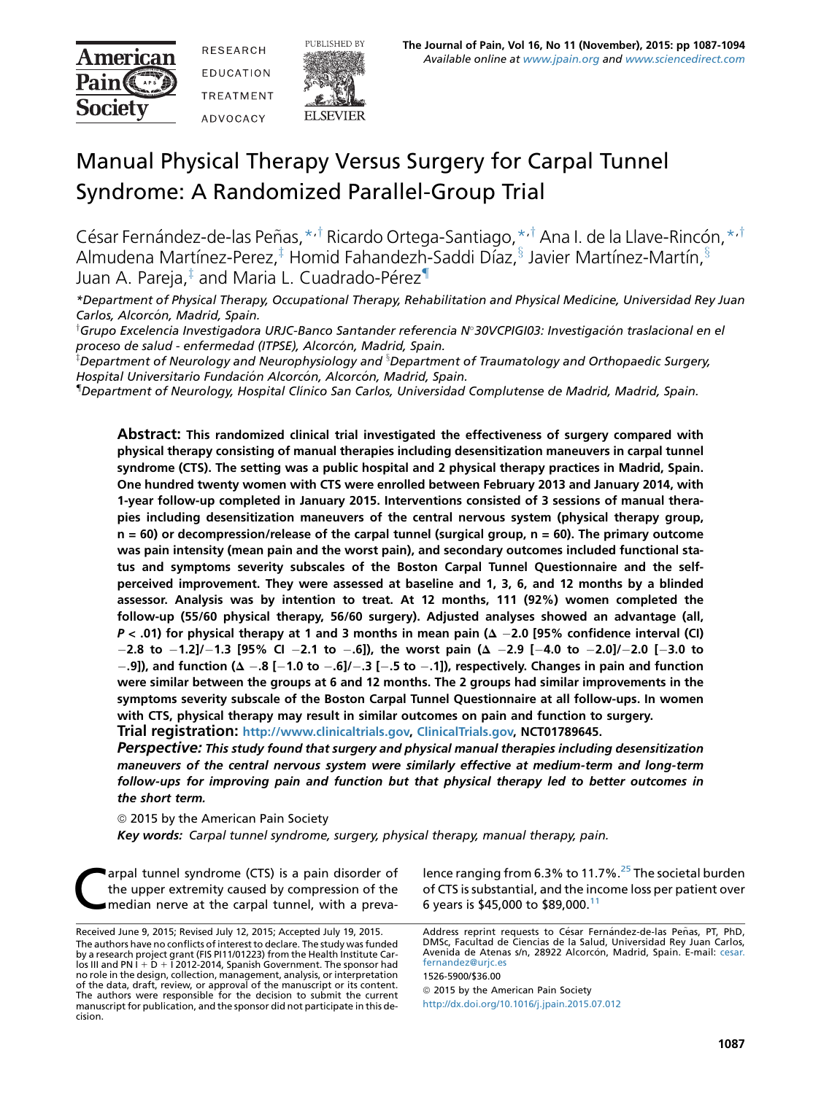American **Pain C** Society

**RESEARCH** EDUCATION **TRFATMFNT ADVOCACY** 



# Manual Physical Therapy Versus Surgery for Carpal Tunnel Syndrome: A Randomized Parallel-Group Trial

César Fernández-de-las Peñas, \*<sup>,†</sup> Ricardo Ortega-Santiago, \*<sup>,†</sup> Ana I. de la Llave-Rincón, \*<sup>,†</sup> Almudena Martínez-Perez, $\frac{1}{k}$  Homid Fahandezh-Saddi Díaz, $\frac{8}{3}$  Javier Martínez-Martín,  $\frac{8}{3}$ Juan A. Pareja, $\frac{1}{4}$  and Maria L. Cuadrado-Pérez<sup>1</sup>

\*Department of Physical Therapy, Occupational Therapy, Rehabilitation and Physical Medicine, Universidad Rey Juan Carlos, Alcorcón, Madrid, Spain.

†Grupo Excelencia Investigadora URJC-Banco Santander referencia № 30VCPIGI03: Investigación traslacional en el proceso de salud - enfermedad (ITPSE), Alcorcón, Madrid, Spain.

 $^{\text{\tiny{\textup{I}}}}$ Department of Neurology and Neurophysiology and  $^{\text{\tiny{\textup{I}}}}$ Department of Traumatology and Orthopaedic Surgery, Hospital Universitario Fundación Alcorcón, Alcorcón, Madrid, Spain.

{ Department of Neurology, Hospital Clınico San Carlos, Universidad Complutense de Madrid, Madrid, Spain.

Abstract: This randomized clinical trial investigated the effectiveness of surgery compared with physical therapy consisting of manual therapies including desensitization maneuvers in carpal tunnel syndrome (CTS). The setting was a public hospital and 2 physical therapy practices in Madrid, Spain. One hundred twenty women with CTS were enrolled between February 2013 and January 2014, with 1-year follow-up completed in January 2015. Interventions consisted of 3 sessions of manual therapies including desensitization maneuvers of the central nervous system (physical therapy group,  $n = 60$ ) or decompression/release of the carpal tunnel (surgical group,  $n = 60$ ). The primary outcome was pain intensity (mean pain and the worst pain), and secondary outcomes included functional status and symptoms severity subscales of the Boston Carpal Tunnel Questionnaire and the selfperceived improvement. They were assessed at baseline and 1, 3, 6, and 12 months by a blinded assessor. Analysis was by intention to treat. At 12 months, 111 (92%) women completed the follow-up (55/60 physical therapy, 56/60 surgery). Adjusted analyses showed an advantage (all,  $P < .01$ ) for physical therapy at 1 and 3 months in mean pain ( $\Delta - 2.0$  [95% confidence interval (CI)  $-2.8$  to  $-1.2$ ]/ $-1.3$  [95% CI  $-2.1$  to  $-.6$ ]), the worst pain ( $\Delta$   $-2.9$  [ $-4.0$  to  $-2.0$ ]/ $-2.0$  [ $-3.0$  to  $-9$ .), and function ( $\Delta -8$  [-1.0 to  $-6$ ]/ $-3$  [-0.5 to  $-1$ ]), respectively. Changes in pain and function were similar between the groups at 6 and 12 months. The 2 groups had similar improvements in the symptoms severity subscale of the Boston Carpal Tunnel Questionnaire at all follow-ups. In women with CTS, physical therapy may result in similar outcomes on pain and function to surgery. Trial registration: [http://www.clinicaltrials.gov,](http://www.clinicaltrials.gov) [ClinicalTrials.gov,](http://ClinicalTrials.gov) NCT01789645.

Perspective: This study found that surgery and physical manual therapies including desensitization maneuvers of the central nervous system were similarly effective at medium-term and long-term follow-ups for improving pain and function but that physical therapy led to better outcomes in the short term.

© 2015 by the American Pain Society

Key words: Carpal tunnel syndrome, surgery, physical therapy, manual therapy, pain.

arpal tunnel syndrome (CTS) is a pain disorder of the upper extremity caused by compression of the median nerve at the carpal tunnel, with a prevalence ranging from 6.3% to 11.7%.<sup>[25](#page-7-0)</sup> The societal burden of CTS is substantial, and the income loss per patient over 6 years is \$45,000 to \$89,000.[11](#page-7-0)

1526-5900/\$36.00

<sup>©</sup> 2015 by the American Pain Society <http://dx.doi.org/10.1016/j.jpain.2015.07.012>

Received June 9, 2015; Revised July 12, 2015; Accepted July 19, 2015. The authors have no conflicts of interest to declare. The study was funded by a research project grant (FIS PI11/01223) from the Health Institute Carlos III and PN I + D + I 2012-2014, Spanish Government. The sponsor had<br>no role in the design, collection, management, analysis, or interpretation of the data, draft, review, or approval of the manuscript or its content. The authors were responsible for the decision to submit the current manuscript for publication, and the sponsor did not participate in this decision.

Address reprint requests to César Fernández-de-las Peñas, PT, PhD, DMSc, Facultad de Ciencias de la Salud, Universidad Rey Juan Carlos,<br>Avenida de Atenas s/n, 28922 Alcorcón, Madrid, Spain. E-mail: [cesar.](mailto:cesar.fernandez@urjc.es) [fernandez@urjc.es](mailto:cesar.fernandez@urjc.es)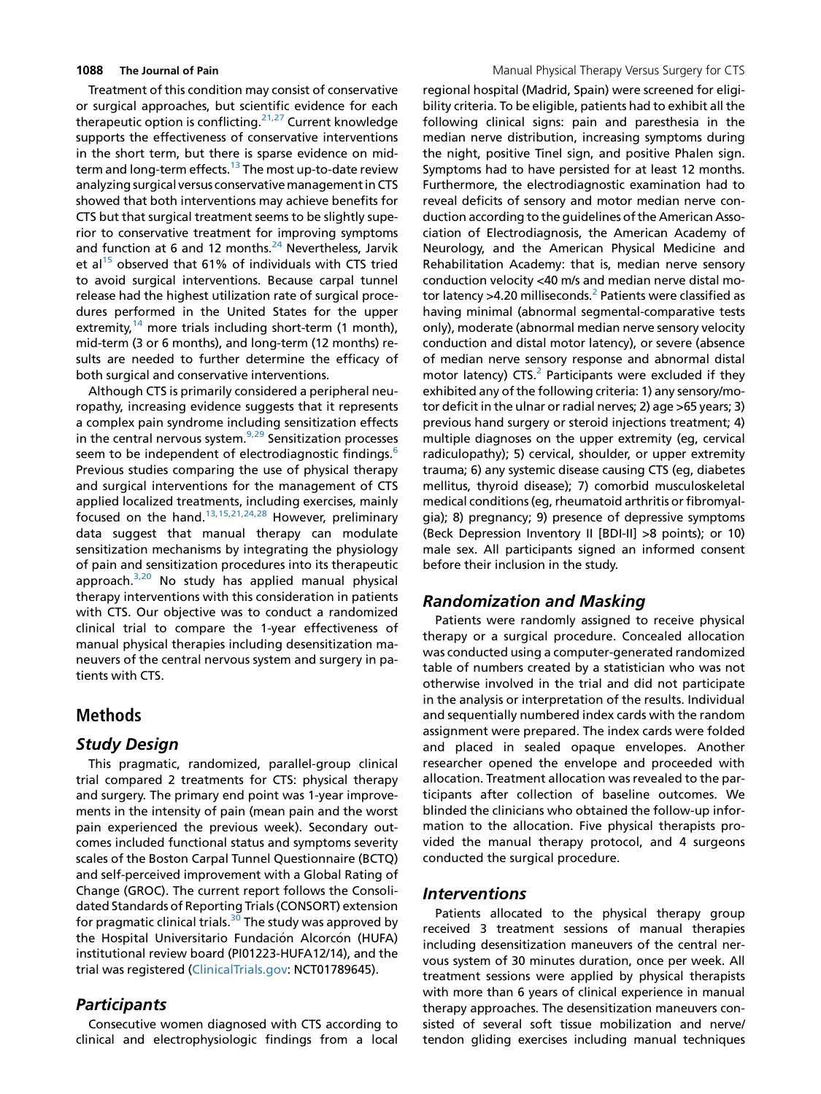Treatment of this condition may consist of conservative or surgical approaches, but scientific evidence for each therapeutic option is conflicting. $21,27$  Current knowledge supports the effectiveness of conservative interventions in the short term, but there is sparse evidence on mid-term and long-term effects.<sup>[13](#page-7-0)</sup> The most up-to-date review analyzing surgical versus conservativemanagementin CTS showed that both interventions may achieve benefits for CTS but that surgical treatment seems to be slightly superior to conservative treatment for improving symptoms and function at 6 and 12 months. $24$  Nevertheless, Jarvik et al<sup>15</sup> observed that 61% of individuals with CTS tried to avoid surgical interventions. Because carpal tunnel release had the highest utilization rate of surgical procedures performed in the United States for the upper extremity,<sup>[14](#page-7-0)</sup> more trials including short-term (1 month), mid-term (3 or 6 months), and long-term (12 months) results are needed to further determine the efficacy of both surgical and conservative interventions.

Although CTS is primarily considered a peripheral neuropathy, increasing evidence suggests that it represents a complex pain syndrome including sensitization effects in the central nervous system. $9,29$  Sensitization processes seem to be independent of electrodiagnostic findings.<sup>6</sup> Previous studies comparing the use of physical therapy and surgical interventions for the management of CTS applied localized treatments, including exercises, mainly focused on the hand.[13,15,21,24,28](#page-7-0) However, preliminary data suggest that manual therapy can modulate sensitization mechanisms by integrating the physiology of pain and sensitization procedures into its therapeutic approach. $3,20$  No study has applied manual physical therapy interventions with this consideration in patients with CTS. Our objective was to conduct a randomized clinical trial to compare the 1-year effectiveness of manual physical therapies including desensitization maneuvers of the central nervous system and surgery in patients with CTS.

# Methods

# Study Design

This pragmatic, randomized, parallel-group clinical trial compared 2 treatments for CTS: physical therapy and surgery. The primary end point was 1-year improvements in the intensity of pain (mean pain and the worst pain experienced the previous week). Secondary outcomes included functional status and symptoms severity scales of the Boston Carpal Tunnel Questionnaire (BCTQ) and self-perceived improvement with a Global Rating of Change (GROC). The current report follows the Consolidated Standards of Reporting Trials (CONSORT) extension for pragmatic clinical trials.<sup>[30](#page-7-0)</sup> The study was approved by the Hospital Universitario Fundación Alcorcón (HUFA) institutional review board (PI01223-HUFA12/14), and the trial was registered [\(ClinicalTrials.gov:](http://ClinicalTrials.gov) NCT01789645).

# **Participants**

Consecutive women diagnosed with CTS according to clinical and electrophysiologic findings from a local

regional hospital (Madrid, Spain) were screened for eligibility criteria. To be eligible, patients had to exhibit all the following clinical signs: pain and paresthesia in the median nerve distribution, increasing symptoms during the night, positive Tinel sign, and positive Phalen sign. Symptoms had to have persisted for at least 12 months. Furthermore, the electrodiagnostic examination had to reveal deficits of sensory and motor median nerve conduction according to the guidelines of the American Association of Electrodiagnosis, the American Academy of Neurology, and the American Physical Medicine and Rehabilitation Academy: that is, median nerve sensory conduction velocity <40 m/s and median nerve distal motor latency  $>4.20$  $>4.20$  $>4.20$  milliseconds.<sup>2</sup> Patients were classified as having minimal (abnormal segmental-comparative tests only), moderate (abnormal median nerve sensory velocity conduction and distal motor latency), or severe (absence of median nerve sensory response and abnormal distal motor latency)  $CTS<sup>2</sup>$  Participants were excluded if they exhibited any of the following criteria: 1) any sensory/motor deficit in the ulnar or radial nerves; 2) age >65 years; 3) previous hand surgery or steroid injections treatment; 4) multiple diagnoses on the upper extremity (eg, cervical radiculopathy); 5) cervical, shoulder, or upper extremity trauma; 6) any systemic disease causing CTS (eg, diabetes mellitus, thyroid disease); 7) comorbid musculoskeletal medical conditions (eg, rheumatoid arthritis or fibromyalgia); 8) pregnancy; 9) presence of depressive symptoms (Beck Depression Inventory II [BDI-II] >8 points); or 10) male sex. All participants signed an informed consent before their inclusion in the study.

# Randomization and Masking

Patients were randomly assigned to receive physical therapy or a surgical procedure. Concealed allocation was conducted using a computer-generated randomized table of numbers created by a statistician who was not otherwise involved in the trial and did not participate in the analysis or interpretation of the results. Individual and sequentially numbered index cards with the random assignment were prepared. The index cards were folded and placed in sealed opaque envelopes. Another researcher opened the envelope and proceeded with allocation. Treatment allocation was revealed to the participants after collection of baseline outcomes. We blinded the clinicians who obtained the follow-up information to the allocation. Five physical therapists provided the manual therapy protocol, and 4 surgeons conducted the surgical procedure.

### Interventions

Patients allocated to the physical therapy group received 3 treatment sessions of manual therapies including desensitization maneuvers of the central nervous system of 30 minutes duration, once per week. All treatment sessions were applied by physical therapists with more than 6 years of clinical experience in manual therapy approaches. The desensitization maneuvers consisted of several soft tissue mobilization and nerve/ tendon gliding exercises including manual techniques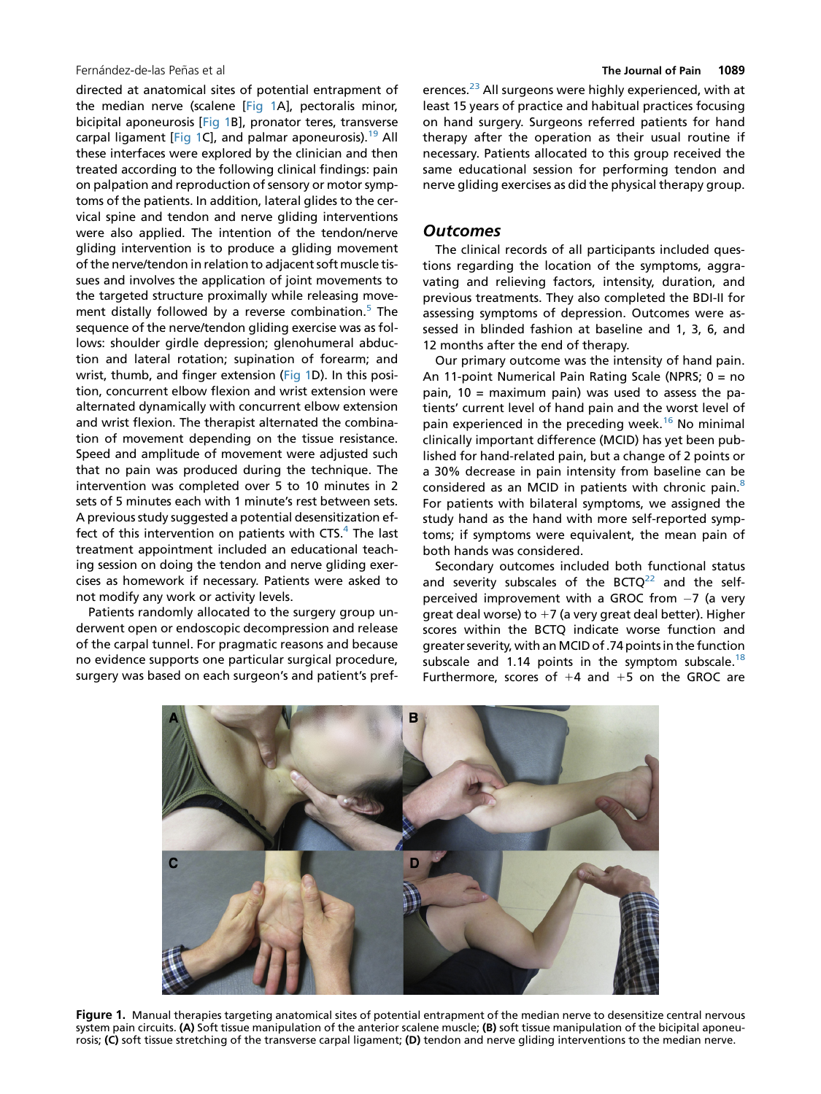### Fernández-de-las Peñas et al **The Journal of Pain 1089**

directed at anatomical sites of potential entrapment of the median nerve (scalene [Fig 1A], pectoralis minor, bicipital aponeurosis [Fig 1B], pronator teres, transverse carpal ligament [Fig 1C], and palmar aponeurosis).<sup>19</sup> All these interfaces were explored by the clinician and then treated according to the following clinical findings: pain on palpation and reproduction of sensory or motor symptoms of the patients. In addition, lateral glides to the cervical spine and tendon and nerve gliding interventions were also applied. The intention of the tendon/nerve gliding intervention is to produce a gliding movement of the nerve/tendon in relation to adjacent soft muscle tissues and involves the application of joint movements to the targeted structure proximally while releasing movement distally followed by a reverse combination.<sup>5</sup> The sequence of the nerve/tendon gliding exercise was as follows: shoulder girdle depression; glenohumeral abduction and lateral rotation; supination of forearm; and wrist, thumb, and finger extension (Fig 1D). In this position, concurrent elbow flexion and wrist extension were alternated dynamically with concurrent elbow extension and wrist flexion. The therapist alternated the combination of movement depending on the tissue resistance. Speed and amplitude of movement were adjusted such that no pain was produced during the technique. The intervention was completed over 5 to 10 minutes in 2 sets of 5 minutes each with 1 minute's rest between sets. A previous study suggested a potential desensitization effect of this intervention on patients with  $CTS<sup>4</sup>$ . The last treatment appointment included an educational teaching session on doing the tendon and nerve gliding exercises as homework if necessary. Patients were asked to not modify any work or activity levels.

Patients randomly allocated to the surgery group underwent open or endoscopic decompression and release of the carpal tunnel. For pragmatic reasons and because no evidence supports one particular surgical procedure, surgery was based on each surgeon's and patient's pref-

erences.<sup>[23](#page-7-0)</sup> All surgeons were highly experienced, with at least 15 years of practice and habitual practices focusing on hand surgery. Surgeons referred patients for hand therapy after the operation as their usual routine if necessary. Patients allocated to this group received the same educational session for performing tendon and nerve gliding exercises as did the physical therapy group.

### **Outcomes**

The clinical records of all participants included questions regarding the location of the symptoms, aggravating and relieving factors, intensity, duration, and previous treatments. They also completed the BDI-II for assessing symptoms of depression. Outcomes were assessed in blinded fashion at baseline and 1, 3, 6, and 12 months after the end of therapy.

Our primary outcome was the intensity of hand pain. An 11-point Numerical Pain Rating Scale (NPRS; 0 = no pain,  $10 =$  maximum pain) was used to assess the patients' current level of hand pain and the worst level of pain experienced in the preceding week.<sup>[16](#page-7-0)</sup> No minimal clinically important difference (MCID) has yet been published for hand-related pain, but a change of 2 points or a 30% decrease in pain intensity from baseline can be considered as an MCID in patients with chronic pain.<sup>8</sup> For patients with bilateral symptoms, we assigned the study hand as the hand with more self-reported symptoms; if symptoms were equivalent, the mean pain of both hands was considered.

Secondary outcomes included both functional status and severity subscales of the BCTQ $^{22}$  $^{22}$  $^{22}$  and the selfperceived improvement with a GROC from  $-7$  (a very great deal worse) to  $+7$  (a very great deal better). Higher scores within the BCTQ indicate worse function and greater severity, with anMCID of .74 points in the function subscale and 1.14 points in the symptom subscale.<sup>[18](#page-7-0)</sup> Furthermore, scores of  $+4$  and  $+5$  on the GROC are



Figure 1. Manual therapies targeting anatomical sites of potential entrapment of the median nerve to desensitize central nervous system pain circuits. (A) Soft tissue manipulation of the anterior scalene muscle; (B) soft tissue manipulation of the bicipital aponeurosis; (C) soft tissue stretching of the transverse carpal ligament; (D) tendon and nerve gliding interventions to the median nerve.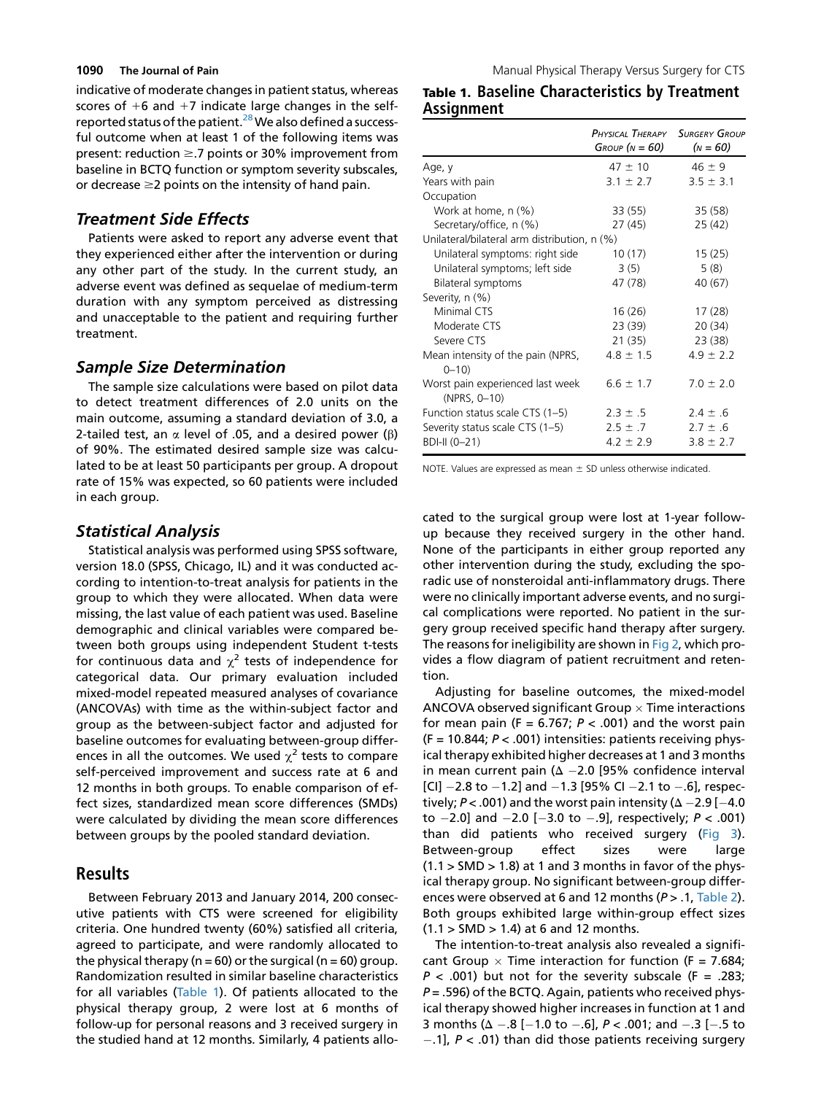indicative of moderate changes in patient status, whereas scores of  $+6$  and  $+7$  indicate large changes in the self-reported status of the patient.<sup>[28](#page-7-0)</sup> We also defined a successful outcome when at least 1 of the following items was present: reduction  $\geq$ .7 points or 30% improvement from baseline in BCTQ function or symptom severity subscales, or decrease  $\geq$  points on the intensity of hand pain.

# Treatment Side Effects

Patients were asked to report any adverse event that they experienced either after the intervention or during any other part of the study. In the current study, an adverse event was defined as sequelae of medium-term duration with any symptom perceived as distressing and unacceptable to the patient and requiring further treatment.

### Sample Size Determination

The sample size calculations were based on pilot data to detect treatment differences of 2.0 units on the main outcome, assuming a standard deviation of 3.0, a 2-tailed test, an  $\alpha$  level of .05, and a desired power ( $\beta$ ) of 90%. The estimated desired sample size was calculated to be at least 50 participants per group. A dropout rate of 15% was expected, so 60 patients were included in each group.

# Statistical Analysis

Statistical analysis was performed using SPSS software, version 18.0 (SPSS, Chicago, IL) and it was conducted according to intention-to-treat analysis for patients in the group to which they were allocated. When data were missing, the last value of each patient was used. Baseline demographic and clinical variables were compared between both groups using independent Student t-tests for continuous data and  $\chi^2$  tests of independence for categorical data. Our primary evaluation included mixed-model repeated measured analyses of covariance (ANCOVAs) with time as the within-subject factor and group as the between-subject factor and adjusted for baseline outcomes for evaluating between-group differences in all the outcomes. We used  $\chi^2$  tests to compare self-perceived improvement and success rate at 6 and 12 months in both groups. To enable comparison of effect sizes, standardized mean score differences (SMDs) were calculated by dividing the mean score differences between groups by the pooled standard deviation.

# Results

Between February 2013 and January 2014, 200 consecutive patients with CTS were screened for eligibility criteria. One hundred twenty (60%) satisfied all criteria, agreed to participate, and were randomly allocated to the physical therapy ( $n = 60$ ) or the surgical ( $n = 60$ ) group. Randomization resulted in similar baseline characteristics for all variables (Table 1). Of patients allocated to the physical therapy group, 2 were lost at 6 months of follow-up for personal reasons and 3 received surgery in the studied hand at 12 months. Similarly, 4 patients allo-

# Table 1. Baseline Characteristics by Treatment Assignment

|                                                  | PHYSICAL THERAPY SURGERY GROUP<br>Group ( $N = 60$ ) | $(N = 60)$    |  |  |  |
|--------------------------------------------------|------------------------------------------------------|---------------|--|--|--|
| Age, y                                           | $47 \pm 10$                                          | $46 \pm 9$    |  |  |  |
| Years with pain                                  | $3.1 \pm 2.7$                                        | $3.5 \pm 3.1$ |  |  |  |
| Occupation                                       |                                                      |               |  |  |  |
| Work at home, n (%)                              | 33 (55)                                              | 35(58)        |  |  |  |
| Secretary/office, n (%)                          | 27 (45)                                              | 25 (42)       |  |  |  |
| Unilateral/bilateral arm distribution, n (%)     |                                                      |               |  |  |  |
| Unilateral symptoms: right side                  | 10(17)                                               | 15(25)        |  |  |  |
| Unilateral symptoms; left side                   | 3(5)                                                 | 5(8)          |  |  |  |
| Bilateral symptoms                               | 47 (78)                                              | 40 (67)       |  |  |  |
| Severity, n (%)                                  |                                                      |               |  |  |  |
| Minimal CTS                                      | 16 (26)                                              | 17(28)        |  |  |  |
| Moderate CTS                                     | 23 (39)                                              | 20(34)        |  |  |  |
| Severe CTS                                       | 21 (35)                                              | 23 (38)       |  |  |  |
| Mean intensity of the pain (NPRS,<br>$0 - 10$    | $4.8 \pm 1.5$                                        | $4.9 \pm 2.2$ |  |  |  |
| Worst pain experienced last week<br>(NPRS, 0-10) | $6.6 \pm 1.7$                                        | $7.0 \pm 2.0$ |  |  |  |
| Function status scale CTS (1-5)                  | $2.3 \pm .5$                                         | $2.4 \pm .6$  |  |  |  |
| Severity status scale CTS (1-5)                  | $2.5 \pm .7$                                         | $2.7 \pm .6$  |  |  |  |
| BDI-II (0-21)                                    | $4.2 \pm 2.9$                                        | $3.8 \pm 2.7$ |  |  |  |

NOTE. Values are expressed as mean  $\pm$  SD unless otherwise indicated.

cated to the surgical group were lost at 1-year followup because they received surgery in the other hand. None of the participants in either group reported any other intervention during the study, excluding the sporadic use of nonsteroidal anti-inflammatory drugs. There were no clinically important adverse events, and no surgical complications were reported. No patient in the surgery group received specific hand therapy after surgery. The reasons for ineligibility are shown in [Fig 2,](#page-4-0) which provides a flow diagram of patient recruitment and retention.

Adjusting for baseline outcomes, the mixed-model ANCOVA observed significant Group  $\times$  Time interactions for mean pain (F = 6.767;  $P < .001$ ) and the worst pain  $(F = 10.844; P < .001)$  intensities: patients receiving physical therapy exhibited higher decreases at 1 and 3 months in mean current pain ( $\Delta$  -2.0 [95% confidence interval [CI]  $-2.8$  to  $-1.2$ ] and  $-1.3$  [95% CI  $-2.1$  to  $-.6$ ], respectively;  $P < .001$ ) and the worst pain intensity ( $\Delta - 2.9$  [-4.0 to  $-2.0$ ] and  $-2.0$  [ $-3.0$  to  $-.9$ ], respectively;  $P < .001$ ) than did patients who received surgery [\(Fig 3\)](#page-5-0). Between-group effect sizes were large  $(1.1 > SMD > 1.8)$  at 1 and 3 months in favor of the physical therapy group. No significant between-group differences were observed at 6 and 12 months  $(P > 0.1,$  [Table 2\)](#page-5-0). Both groups exhibited large within-group effect sizes  $(1.1 > SMD > 1.4)$  at 6 and 12 months.

The intention-to-treat analysis also revealed a significant Group  $\times$  Time interaction for function (F = 7.684;  $P < .001$ ) but not for the severity subscale (F = .283;  $P = 0.596$ ) of the BCTQ. Again, patients who received physical therapy showed higher increases in function at 1 and 3 months ( $\Delta -.8$  [-1.0 to -.6], P < .001; and -.3 [-.5 to  $-1$ ,  $P < 0.01$ ) than did those patients receiving surgery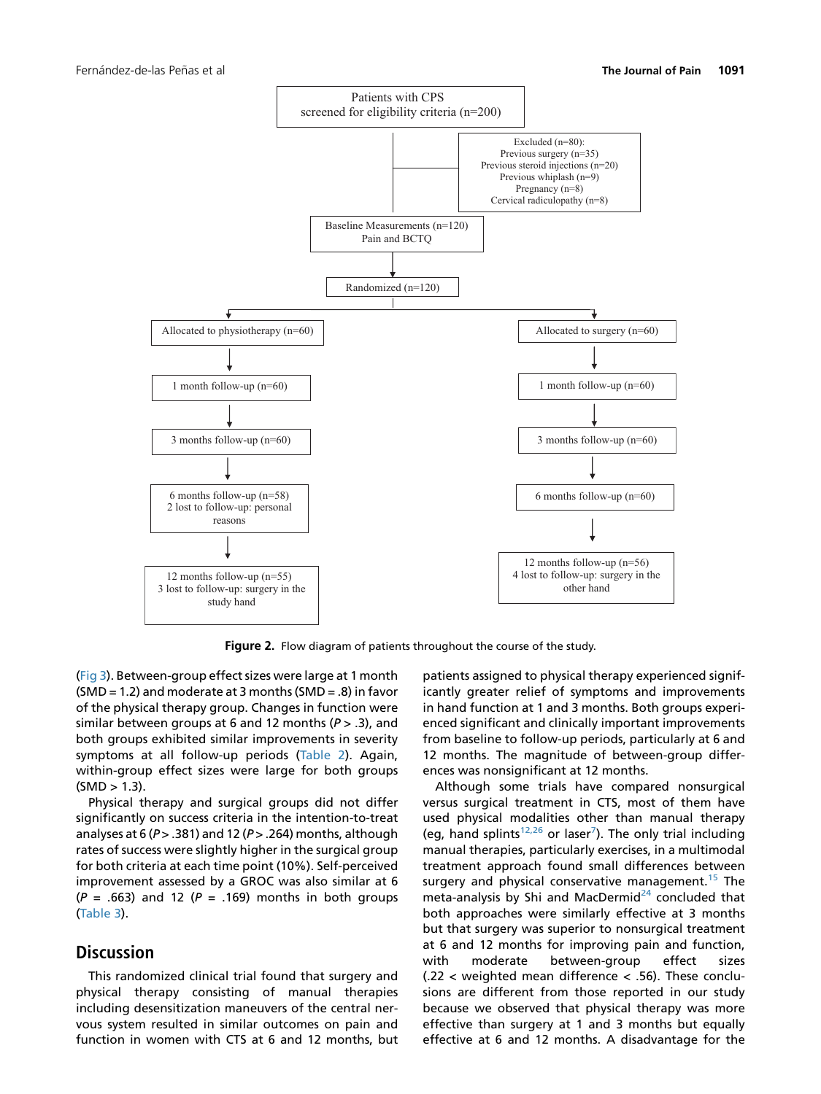<span id="page-4-0"></span>

Figure 2. Flow diagram of patients throughout the course of the study.

([Fig 3](#page-5-0)). Between-group effect sizes were large at 1 month  $(SMD = 1.2)$  and moderate at 3 months  $(SMD = .8)$  in favor of the physical therapy group. Changes in function were similar between groups at 6 and 12 months ( $P > .3$ ), and both groups exhibited similar improvements in severity symptoms at all follow-up periods [\(Table 2\)](#page-5-0). Again, within-group effect sizes were large for both groups  $(SMD > 1.3)$ .

Physical therapy and surgical groups did not differ significantly on success criteria in the intention-to-treat analyses at 6 ( $P > 0.381$ ) and 12 ( $P > 0.264$ ) months, although rates of success were slightly higher in the surgical group for both criteria at each time point (10%). Self-perceived improvement assessed by a GROC was also similar at 6  $(P = .663)$  and 12 ( $P = .169$ ) months in both groups ([Table 3\)](#page-6-0).

# **Discussion**

This randomized clinical trial found that surgery and physical therapy consisting of manual therapies including desensitization maneuvers of the central nervous system resulted in similar outcomes on pain and function in women with CTS at 6 and 12 months, but patients assigned to physical therapy experienced significantly greater relief of symptoms and improvements in hand function at 1 and 3 months. Both groups experienced significant and clinically important improvements from baseline to follow-up periods, particularly at 6 and 12 months. The magnitude of between-group differences was nonsignificant at 12 months.

Although some trials have compared nonsurgical versus surgical treatment in CTS, most of them have used physical modalities other than manual therapy (eg, hand splints<sup>[12,26](#page-7-0)</sup> or laser<sup>[7](#page-6-0)</sup>). The only trial including manual therapies, particularly exercises, in a multimodal treatment approach found small differences between surgery and physical conservative management.<sup>[15](#page-7-0)</sup> The meta-analysis by Shi and MacDermid $^{24}$  $^{24}$  $^{24}$  concluded that both approaches were similarly effective at 3 months but that surgery was superior to nonsurgical treatment at 6 and 12 months for improving pain and function, with moderate between-group effect sizes (.22 < weighted mean difference < .56). These conclusions are different from those reported in our study because we observed that physical therapy was more effective than surgery at 1 and 3 months but equally effective at 6 and 12 months. A disadvantage for the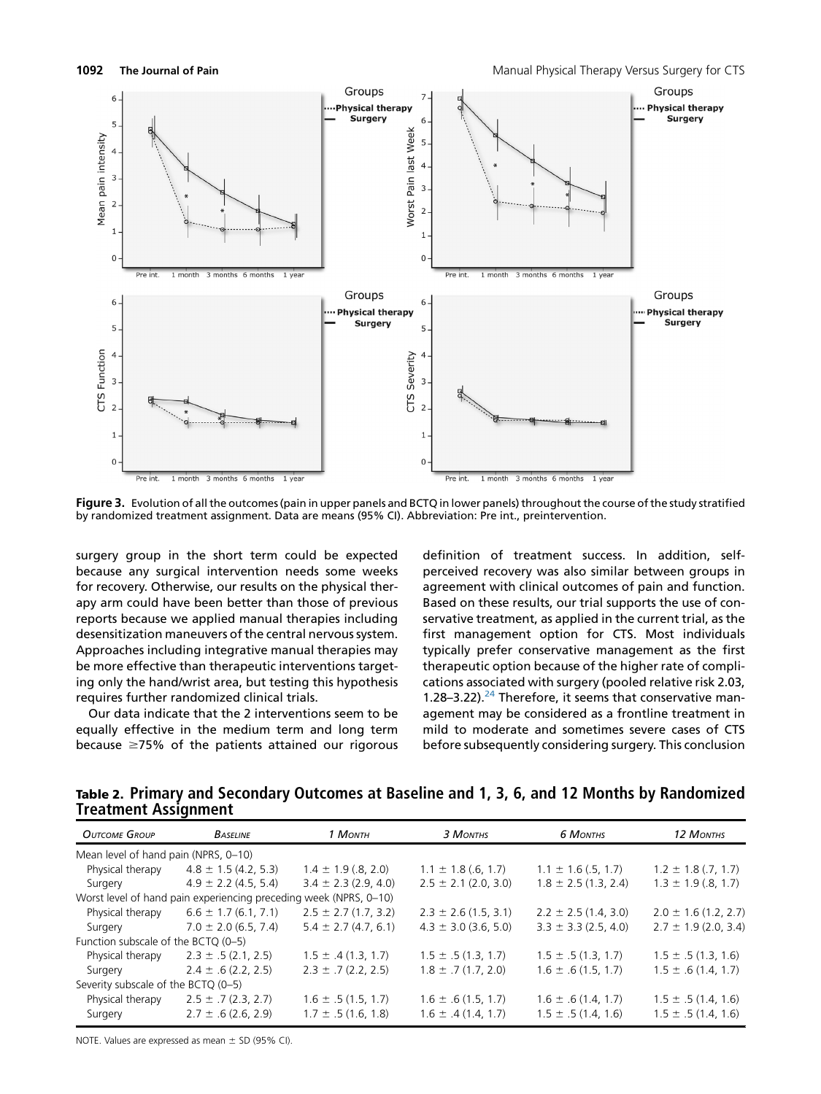<span id="page-5-0"></span>

Figure 3. Evolution of all the outcomes (pain in upper panels and BCTQ in lower panels) throughout the course of the study stratified by randomized treatment assignment. Data are means (95% CI). Abbreviation: Pre int., preintervention.

surgery group in the short term could be expected because any surgical intervention needs some weeks for recovery. Otherwise, our results on the physical therapy arm could have been better than those of previous reports because we applied manual therapies including desensitization maneuvers of the central nervous system. Approaches including integrative manual therapies may be more effective than therapeutic interventions targeting only the hand/wrist area, but testing this hypothesis requires further randomized clinical trials.

Our data indicate that the 2 interventions seem to be equally effective in the medium term and long term because  $\geq$ 75% of the patients attained our rigorous definition of treatment success. In addition, selfperceived recovery was also similar between groups in agreement with clinical outcomes of pain and function. Based on these results, our trial supports the use of conservative treatment, as applied in the current trial, as the first management option for CTS. Most individuals typically prefer conservative management as the first therapeutic option because of the higher rate of complications associated with surgery (pooled relative risk 2.03, 1.28–3.22). $^{24}$  $^{24}$  $^{24}$  Therefore, it seems that conservative management may be considered as a frontline treatment in mild to moderate and sometimes severe cases of CTS before subsequently considering surgery. This conclusion

Table 2. Primary and Secondary Outcomes at Baseline and 1, 3, 6, and 12 Months by Randomized Treatment Assignment

| <b>OUTCOME GROUP</b>                 | <b>BASELINE</b>                                                   | 1 MONTH                  | 3 MONTHS                 | <b>6 MONTHS</b>          | 12 MONTHS                |
|--------------------------------------|-------------------------------------------------------------------|--------------------------|--------------------------|--------------------------|--------------------------|
| Mean level of hand pain (NPRS, 0-10) |                                                                   |                          |                          |                          |                          |
| Physical therapy                     | $4.8 \pm 1.5$ (4.2, 5.3)                                          | $1.4 \pm 1.9$ (.8, 2.0)  | $1.1 \pm 1.8$ (.6, 1.7)  | $1.1 \pm 1.6$ (.5, 1.7)  | $1.2 \pm 1.8$ (.7, 1.7)  |
| Surgery                              | $4.9 \pm 2.2$ (4.5, 5.4)                                          | $3.4 \pm 2.3$ (2.9, 4.0) | $2.5 \pm 2.1$ (2.0, 3.0) | $1.8 \pm 2.5$ (1.3, 2.4) | $1.3 \pm 1.9$ (.8, 1.7)  |
|                                      | Worst level of hand pain experiencing preceding week (NPRS, 0-10) |                          |                          |                          |                          |
| Physical therapy                     | $6.6 \pm 1.7$ (6.1, 7.1)                                          | $2.5 \pm 2.7$ (1.7, 3.2) | $2.3 \pm 2.6$ (1.5, 3.1) | $2.2 \pm 2.5$ (1.4, 3.0) | $2.0 \pm 1.6$ (1.2, 2.7) |
| Surgery                              | $7.0 \pm 2.0$ (6.5, 7.4)                                          | $5.4 \pm 2.7(4.7.6.1)$   | $4.3 \pm 3.0$ (3.6, 5.0) | $3.3 \pm 3.3$ (2.5, 4.0) | $2.7 \pm 1.9$ (2.0, 3.4) |
| Function subscale of the BCTO (0-5)  |                                                                   |                          |                          |                          |                          |
| Physical therapy                     | $2.3 \pm .5$ (2.1, 2.5)                                           | $1.5 \pm .4(1.3, 1.7)$   | $1.5 \pm .5(1.3, 1.7)$   | $1.5 \pm .5(1.3, 1.7)$   | $1.5 \pm .5(1.3, 1.6)$   |
| Surgery                              | $2.4 \pm .6$ (2.2, 2.5)                                           | $2.3 \pm .7$ (2.2, 2.5)  | $1.8 \pm .7(1.7, 2.0)$   | $1.6 \pm .6(1.5, 1.7)$   | $1.5 \pm .6(1.4, 1.7)$   |
| Severity subscale of the BCTQ (0-5)  |                                                                   |                          |                          |                          |                          |
| Physical therapy                     | $2.5 \pm .7$ (2.3, 2.7)                                           | $1.6 \pm .5(1.5, 1.7)$   | $1.6 \pm .6(1.5, 1.7)$   | $1.6 \pm .6(1.4, 1.7)$   | $1.5 \pm .5(1.4, 1.6)$   |
| Surgery                              | $2.7 \pm .6$ (2.6, 2.9)                                           | $1.7 \pm .5(1.6, 1.8)$   | $1.6 \pm .4(1.4, 1.7)$   | $1.5 \pm .5(1.4, 1.6)$   | $1.5 \pm .5(1.4, 1.6)$   |

NOTE. Values are expressed as mean  $\pm$  SD (95% CI).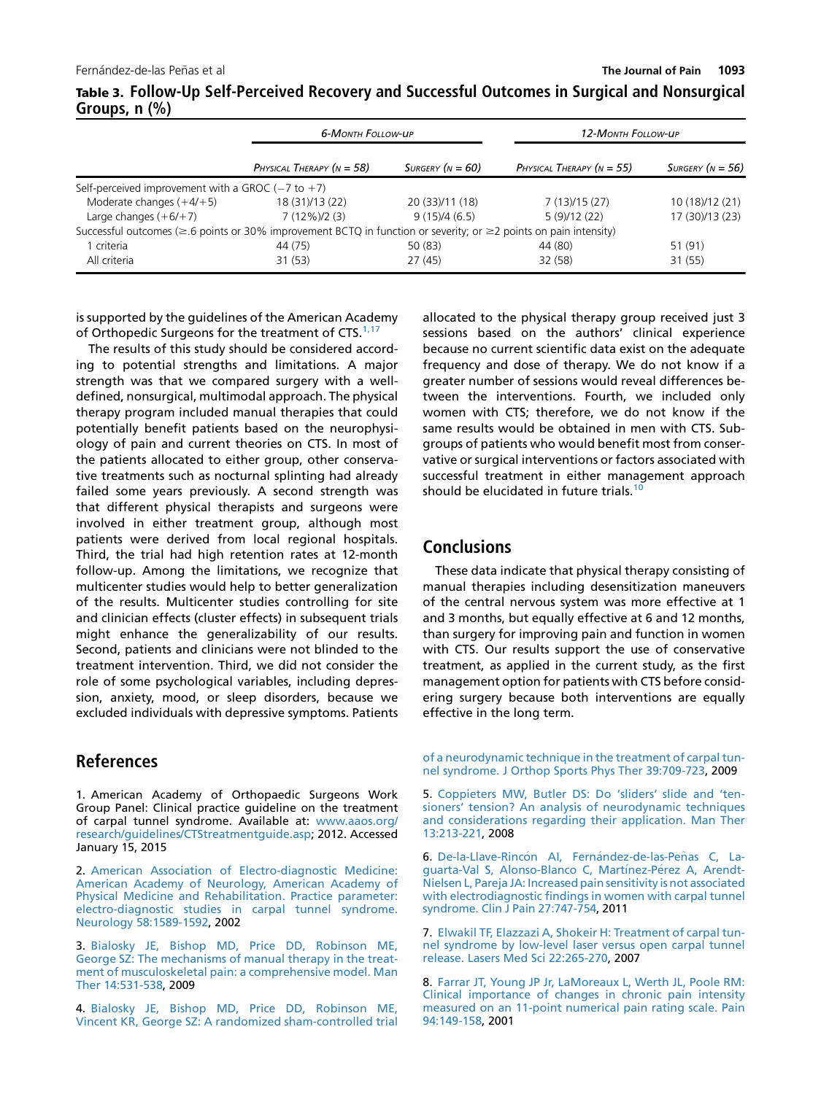|                                                                                                                              | 6-MONTH FOLLOW-UP           |                         | 12-MONTH FOLLOW-UP          |                         |
|------------------------------------------------------------------------------------------------------------------------------|-----------------------------|-------------------------|-----------------------------|-------------------------|
|                                                                                                                              | PHYSICAL THERAPY $(N = 58)$ | $S$ urgery ( $N = 60$ ) | PHYSICAL THERAPY $(N = 55)$ | $S$ urgery ( $N = 56$ ) |
| Self-perceived improvement with a GROC $(-7 \text{ to } +7)$                                                                 |                             |                         |                             |                         |
| Moderate changes $(+4/+5)$                                                                                                   | 18 (31)/13 (22)             | 20 (33)/11 (18)         | 7(13)/15(27)                | 10 (18)/12 (21)         |
| Large changes $(+6/+7)$                                                                                                      | $7(12\%)/2(3)$              | 9(15)/4(6.5)            | 5(9)/12(22)                 | 17 (30)/13 (23)         |
| Successful outcomes ( $\geq 6$ points or 30% improvement BCTQ in function or severity; or $\geq 2$ points on pain intensity) |                             |                         |                             |                         |
| 1 criteria                                                                                                                   | 44 (75)                     | 50(83)                  | 44 (80)                     | 51 (91)                 |
| All criteria                                                                                                                 | 31(53)                      | 27 (45)                 | 32 (58)                     | 31(55)                  |

<span id="page-6-0"></span>Table 3. Follow-Up Self-Perceived Recovery and Successful Outcomes in Surgical and Nonsurgical Groups, n (%)

is supported by the guidelines of the American Academy of Orthopedic Surgeons for the treatment of CTS.<sup>1,17</sup>

The results of this study should be considered according to potential strengths and limitations. A major strength was that we compared surgery with a welldefined, nonsurgical, multimodal approach. The physical therapy program included manual therapies that could potentially benefit patients based on the neurophysiology of pain and current theories on CTS. In most of the patients allocated to either group, other conservative treatments such as nocturnal splinting had already failed some years previously. A second strength was that different physical therapists and surgeons were involved in either treatment group, although most patients were derived from local regional hospitals. Third, the trial had high retention rates at 12-month follow-up. Among the limitations, we recognize that multicenter studies would help to better generalization of the results. Multicenter studies controlling for site and clinician effects (cluster effects) in subsequent trials might enhance the generalizability of our results. Second, patients and clinicians were not blinded to the treatment intervention. Third, we did not consider the role of some psychological variables, including depression, anxiety, mood, or sleep disorders, because we excluded individuals with depressive symptoms. Patients

# References

1. American Academy of Orthopaedic Surgeons Work Group Panel: Clinical practice guideline on the treatment of carpal tunnel syndrome. Available at: [www.aaos.org/](http://www.aaos.org/research/guidelines/CTStreatmentguide.asp) [research/guidelines/CTStreatmentguide.asp](http://www.aaos.org/research/guidelines/CTStreatmentguide.asp); 2012. Accessed January 15, 2015

2. [American Association of Electro-diagnostic Medicine:](http://refhub.elsevier.com/S1526-5900(15)00816-0/sref2) [American Academy of Neurology, American Academy of](http://refhub.elsevier.com/S1526-5900(15)00816-0/sref2) [Physical Medicine and Rehabilitation. Practice parameter:](http://refhub.elsevier.com/S1526-5900(15)00816-0/sref2) [electro-diagnostic studies in carpal tunnel syndrome.](http://refhub.elsevier.com/S1526-5900(15)00816-0/sref2) [Neurology 58:1589-1592,](http://refhub.elsevier.com/S1526-5900(15)00816-0/sref2) 2002

3. [Bialosky JE, Bishop MD, Price DD, Robinson ME,](http://refhub.elsevier.com/S1526-5900(15)00816-0/sref3) [George SZ: The mechanisms of manual therapy in the treat](http://refhub.elsevier.com/S1526-5900(15)00816-0/sref3)[ment of musculoskeletal pain: a comprehensive model. Man](http://refhub.elsevier.com/S1526-5900(15)00816-0/sref3) [Ther 14:531-538,](http://refhub.elsevier.com/S1526-5900(15)00816-0/sref3) 2009

4. [Bialosky JE, Bishop MD, Price DD, Robinson ME,](http://refhub.elsevier.com/S1526-5900(15)00816-0/sref4) [Vincent KR, George SZ: A randomized sham-controlled trial](http://refhub.elsevier.com/S1526-5900(15)00816-0/sref4)

allocated to the physical therapy group received just 3 sessions based on the authors' clinical experience because no current scientific data exist on the adequate frequency and dose of therapy. We do not know if a greater number of sessions would reveal differences between the interventions. Fourth, we included only women with CTS; therefore, we do not know if the same results would be obtained in men with CTS. Subgroups of patients who would benefit most from conservative or surgical interventions or factors associated with successful treatment in either management approach should be elucidated in future trials.<sup>[10](#page-7-0)</sup>

# **Conclusions**

These data indicate that physical therapy consisting of manual therapies including desensitization maneuvers of the central nervous system was more effective at 1 and 3 months, but equally effective at 6 and 12 months, than surgery for improving pain and function in women with CTS. Our results support the use of conservative treatment, as applied in the current study, as the first management option for patients with CTS before considering surgery because both interventions are equally effective in the long term.

[of a neurodynamic technique in the treatment of carpal tun](http://refhub.elsevier.com/S1526-5900(15)00816-0/sref4)[nel syndrome. J Orthop Sports Phys Ther 39:709-723](http://refhub.elsevier.com/S1526-5900(15)00816-0/sref4), 2009

5. [Coppieters MW, Butler DS: Do 'sliders' slide and 'ten](http://refhub.elsevier.com/S1526-5900(15)00816-0/sref5)[sioners' tension? An analysis of neurodynamic techniques](http://refhub.elsevier.com/S1526-5900(15)00816-0/sref5) [and considerations regarding their application. Man Ther](http://refhub.elsevier.com/S1526-5900(15)00816-0/sref5) [13:213-221,](http://refhub.elsevier.com/S1526-5900(15)00816-0/sref5) 2008

6. De-la-Llave-Rincón AI, Fernández-de-las-Peñ[as C, La](http://refhub.elsevier.com/S1526-5900(15)00816-0/sref6) [guarta-Val S, Alonso-Blanco C, Mart](http://refhub.elsevier.com/S1526-5900(15)00816-0/sref6)ínez-Pérez A, Arendt-[Nielsen L, Pareja JA: Increased pain sensitivity is not associated](http://refhub.elsevier.com/S1526-5900(15)00816-0/sref6) [with electrodiagnostic findings in women with carpal tunnel](http://refhub.elsevier.com/S1526-5900(15)00816-0/sref6) [syndrome. Clin J Pain 27:747-754](http://refhub.elsevier.com/S1526-5900(15)00816-0/sref6), 2011

7. [Elwakil TF, Elazzazi A, Shokeir H: Treatment of carpal tun](http://refhub.elsevier.com/S1526-5900(15)00816-0/sref7)[nel syndrome by low-level laser versus open carpal tunnel](http://refhub.elsevier.com/S1526-5900(15)00816-0/sref7) [release. Lasers Med Sci 22:265-270,](http://refhub.elsevier.com/S1526-5900(15)00816-0/sref7) 2007

8. [Farrar JT, Young JP Jr, LaMoreaux L, Werth JL, Poole RM:](http://refhub.elsevier.com/S1526-5900(15)00816-0/sref8) [Clinical importance of changes in chronic pain intensity](http://refhub.elsevier.com/S1526-5900(15)00816-0/sref8) [measured on an 11-point numerical pain rating scale. Pain](http://refhub.elsevier.com/S1526-5900(15)00816-0/sref8) [94:149-158,](http://refhub.elsevier.com/S1526-5900(15)00816-0/sref8) 2001